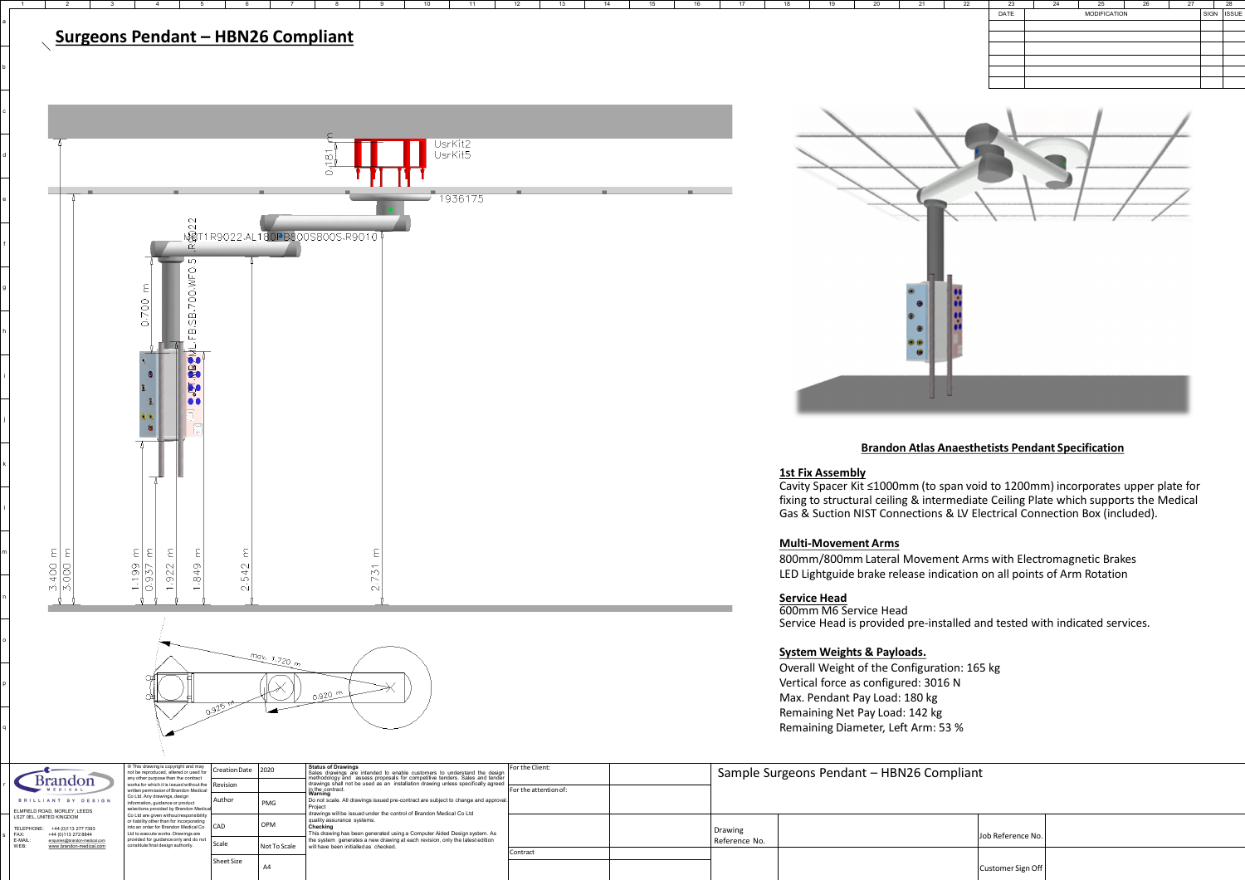

# a b c d e f g h i j k l  $\frac{3.400 \text{ m}}{3.000 \text{ m}}$ m n

FAX: +44 (0)113 272 8844 E-MAIL: enquiries@brandon-medical.com<br>WEB: www.brandon-medical.com

[www.brandon-medical.com](http://www.brandon-medical.com/)

o

p

q

r

| <b>Brandon</b><br>EDICAL |                                                          |  |  |  |  |  |  |  |  |  |  |
|--------------------------|----------------------------------------------------------|--|--|--|--|--|--|--|--|--|--|
|                          | BRILLIANT BY DESIGN                                      |  |  |  |  |  |  |  |  |  |  |
|                          | ELMFIELD ROAD, MORLEY, LEEDS<br>LS27 0EL. UNITED KINGDOM |  |  |  |  |  |  |  |  |  |  |
| TELEPHONE:               | +44 (0) 113 277 7393                                     |  |  |  |  |  |  |  |  |  |  |
| FAX:                     | +44 (0)113 272 8844                                      |  |  |  |  |  |  |  |  |  |  |
| E-MAIL:                  | enquiries@brandon-medical.com                            |  |  |  |  |  |  |  |  |  |  |



not be reproduced, altered or used for

|  | any other purpose than the contract<br>works for which it is issued without the<br>written permission of Brandon Medical                                           | Revisio |
|--|--------------------------------------------------------------------------------------------------------------------------------------------------------------------|---------|
|  | Co Ltd. Any drawings, design<br>information, guidance or product                                                                                                   | Author  |
|  | selections provided by Brandon Medical                                                                                                                             |         |
|  | Co Ltd are given without responsibility<br>or liability other than for incorporating<br>into an order for Brandon Medical Co<br>Ltd to execute works. Drawings are | CAD     |
|  | provided for guidance only and do not<br>constitute final design authority.                                                                                        | Scale   |
|  |                                                                                                                                                                    |         |

| l Creation Date   | 2020         | <b>Status of Drawings</b><br>Sales drawings are intended to enable customers to understand the design                                                                                     | For the Client:       |  |
|-------------------|--------------|-------------------------------------------------------------------------------------------------------------------------------------------------------------------------------------------|-----------------------|--|
| Revision          |              | methodology and assess proposals for competitive tenders. Sales and tender<br>drawings shall not be used as an installation drawing unless specifically agreed<br>in the contract.        | For the attention of: |  |
| Author            | <b>PMG</b>   | Warning<br>Do not scale. All drawings issued pre-contract are subject to change and approval.<br>Project                                                                                  |                       |  |
| <b>CAD</b>        | <b>OPM</b>   | drawings will be issued under the control of Brandon Medical Co Ltd<br>quality assurance systems.<br>Checking<br>This drawing has been generated using a Computer Aided Design system. As |                       |  |
| Scale             | Not To Scale | the system generates a new drawing at each revision, only the latest edition<br>will have been initialled as checked.                                                                     |                       |  |
|                   |              |                                                                                                                                                                                           | Contract              |  |
| <b>Sheet Size</b> | A4           |                                                                                                                                                                                           |                       |  |

s

| Sample Surgeons Pendant - HBN26 Compliant |  |                   |  |  |  |  |  |  |  |  |
|-------------------------------------------|--|-------------------|--|--|--|--|--|--|--|--|
| Drawing<br>Reference No.                  |  | Job Reference No. |  |  |  |  |  |  |  |  |
|                                           |  | Customer Sign Off |  |  |  |  |  |  |  |  |



#### **Brandon Atlas Anaesthetists Pendant Specification**

#### **1st Fix Assembly**

Cavity Spacer Kit ≤1000mm (to span void to 1200mm) incorporates upper plate for fixing to structural ceiling & intermediate Ceiling Plate which supports the Medical Gas & Suction NIST Connections & LV Electrical Connection Box (included).

#### **Multi-Movement Arms**

800mm/800mm Lateral Movement Arms with Electromagnetic Brakes LED Lightguide brake release indication on all points of Arm Rotation

#### **Service Head**

600mm M6 Service Head Service Head is provided pre-installed and tested with indicated services.

#### **System Weights & Payloads.**

Overall Weight of the Configuration: 165 kg Vertical force as configured: 3016 N Max. Pendant Pay Load: 180 kg Remaining Net Pay Load: 142 kg Remaining Diameter, Left Arm: 53 %